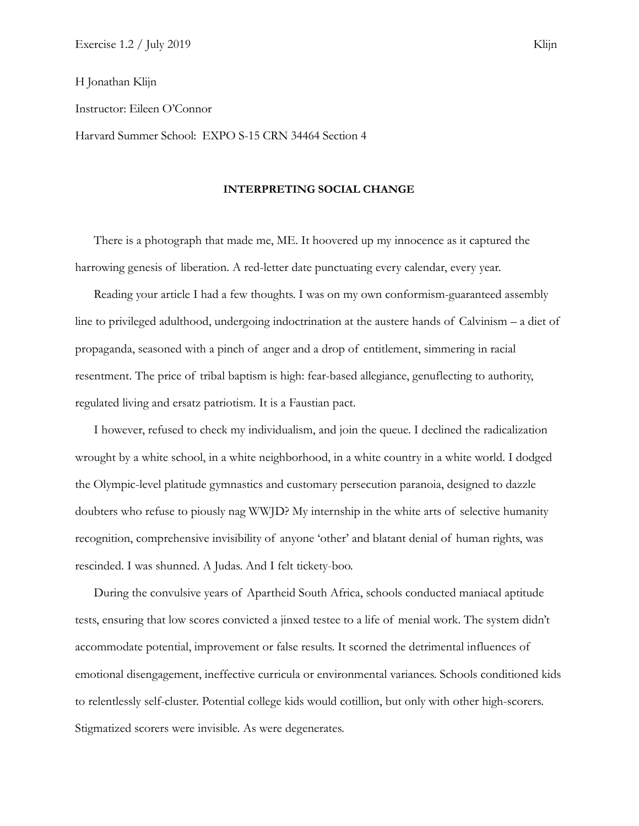## H Jonathan Klijn

Instructor: Eileen O'Connor

Harvard Summer School: EXPO S-15 CRN 34464 Section 4

## **INTERPRETING SOCIAL CHANGE**

There is a photograph that made me, ME. It hoovered up my innocence as it captured the harrowing genesis of liberation. A red-letter date punctuating every calendar, every year.

Reading your article I had a few thoughts. I was on my own conformism-guaranteed assembly line to privileged adulthood, undergoing indoctrination at the austere hands of Calvinism – a diet of propaganda, seasoned with a pinch of anger and a drop of entitlement, simmering in racial resentment. The price of tribal baptism is high: fear-based allegiance, genuflecting to authority, regulated living and ersatz patriotism. It is a Faustian pact.

I however, refused to check my individualism, and join the queue. I declined the radicalization wrought by a white school, in a white neighborhood, in a white country in a white world. I dodged the Olympic-level platitude gymnastics and customary persecution paranoia, designed to dazzle doubters who refuse to piously nag WWJD? My internship in the white arts of selective humanity recognition, comprehensive invisibility of anyone 'other' and blatant denial of human rights, was rescinded. I was shunned. A Judas. And I felt tickety-boo.

During the convulsive years of Apartheid South Africa, schools conducted maniacal aptitude tests, ensuring that low scores convicted a jinxed testee to a life of menial work. The system didn't accommodate potential, improvement or false results. It scorned the detrimental influences of emotional disengagement, ineffective curricula or environmental variances. Schools conditioned kids to relentlessly self-cluster. Potential college kids would cotillion, but only with other high-scorers. Stigmatized scorers were invisible. As were degenerates.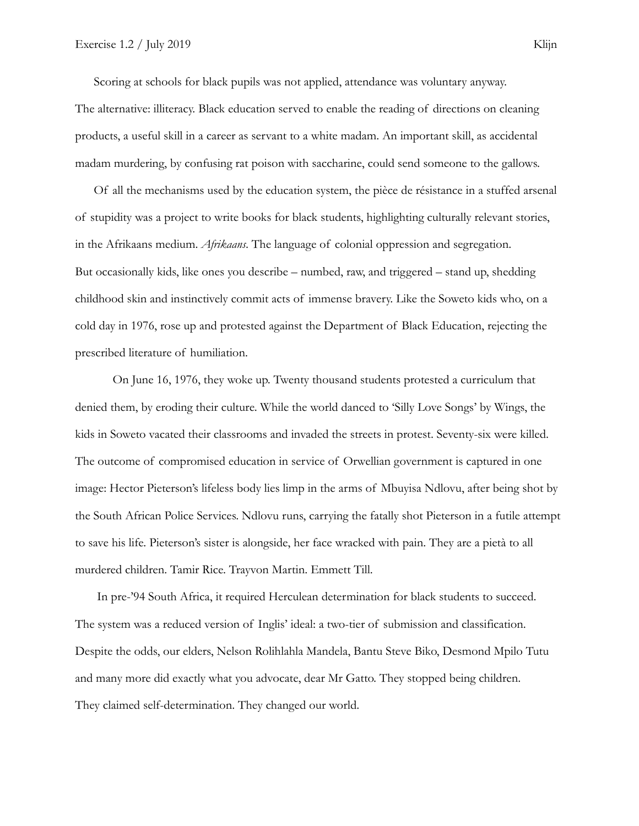Scoring at schools for black pupils was not applied, attendance was voluntary anyway. The alternative: illiteracy. Black education served to enable the reading of directions on cleaning products, a useful skill in a career as servant to a white madam. An important skill, as accidental madam murdering, by confusing rat poison with saccharine, could send someone to the gallows.

Of all the mechanisms used by the education system, the pièce de résistance in a stuffed arsenal of stupidity was a project to write books for black students, highlighting culturally relevant stories, in the Afrikaans medium. *Afrikaans*. The language of colonial oppression and segregation. But occasionally kids, like ones you describe – numbed, raw, and triggered – stand up, shedding childhood skin and instinctively commit acts of immense bravery. Like the Soweto kids who, on a cold day in 1976, rose up and protested against the Department of Black Education, rejecting the prescribed literature of humiliation.

On June 16, 1976, they woke up. Twenty thousand students protested a curriculum that denied them, by eroding their culture. While the world danced to 'Silly Love Songs' by Wings, the kids in Soweto vacated their classrooms and invaded the streets in protest. Seventy-six were killed. The outcome of compromised education in service of Orwellian government is captured in one image: Hector Pieterson's lifeless body lies limp in the arms of Mbuyisa Ndlovu, after being shot by the South African Police Services. Ndlovu runs, carrying the fatally shot Pieterson in a futile attempt to save his life. Pieterson's sister is alongside, her face wracked with pain. They are a pietà to all murdered children. Tamir Rice. Trayvon Martin. Emmett Till.

 In pre-'94 South Africa, it required Herculean determination for black students to succeed. The system was a reduced version of Inglis' ideal: a two-tier of submission and classification. Despite the odds, our elders, Nelson Rolihlahla Mandela, Bantu Steve Biko, Desmond Mpilo Tutu and many more did exactly what you advocate, dear Mr Gatto. They stopped being children. They claimed self-determination. They changed our world.